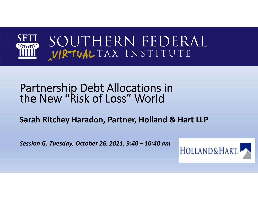

# Partnership Debt Allocations in the New "Risk of Loss" World

**Sarah Ritchey Haradon, Partner, Holland & Hart LLP**

*Session G: Tuesday, October 26, 2021, 9:40 – 10:40 am*

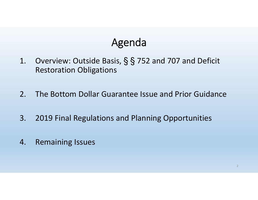# Agenda

- 1. Overview: Outside Basis, § § 752 and 707 and Deficit Restoration Obligations
- 2. The Bottom Dollar Guarantee Issue and Prior Guidance
- 3. 2019 Final Regulations and Planning Opportunities
- 4. Remaining Issues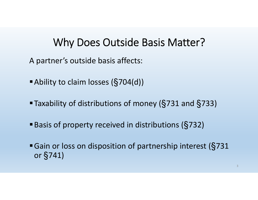#### Why Does Outside Basis Matter?

A partner's outside basis affects:

- Ability to claim losses ( §704(d))
- Taxability of distributions of money ( §731 and §733)
- Basis of property received in distributions ( §732)
- Gain or loss on disposition of partnership interest ( §<sup>731</sup> or §741)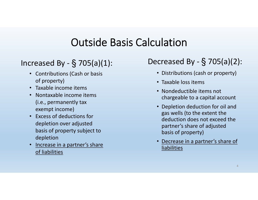## Outside Basis Calculation

- Contributions (Cash or basis of property)
- Taxable income items
- Nontaxable income items (i.e., permanently tax exempt income)
- Excess of deductions for depletion over adjusted basis of property subject to depletion
- • Increase in a partner's share of liabilities

#### Decreased By -  $\S$  705(a)(2): § 705(a)(2): Increased By - § 705(a)(1):

- Distributions (cash or property)
- Taxable loss items
- Nondeductible items not chargeable to a capital account
- Depletion deduction for oil and gas wells (to the extent the deduction does not exceed the partner's share of adjusted basis of property)
- • Decrease in a partner's share of liabilities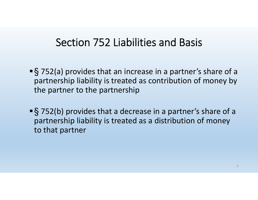#### Section 752 Liabilities and Basis

- ■§752(a) provides that an increase in a partner's share of a partnership liability is treated as contribution of money by the partner to the partnership
- ■§752(b) provides that a decrease in a partner's share of a partnership liability is treated as a distribution of money to that partner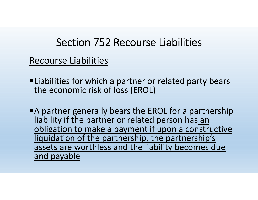# Section 752 Recourse Liabilities

Recourse Liabilities

- ■Liabilities for which a partner or related party bears the economic risk of loss (EROL)
- A partner generally bears the EROL for a partnership liability if the partner or related person has an obligation to make a payment if upon a constructive liquidation of the partnership, the partnership's assets are worthless and the liability becomes due and payable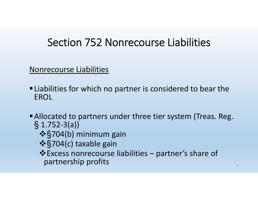# Section 752 Nonrecourse Liabilities

Nonrecourse Liabilities

- Liabilities for which no partner is considered to bear the EROL
- Allocated to partners under three tier system (Treas. Reg.  $\S$  1.752-3(a))
	- **❖§704(b) minimum gain**
	- §704(c) taxable gain
	- Excess nonrecourse liabilities partner's share of partnership profits 7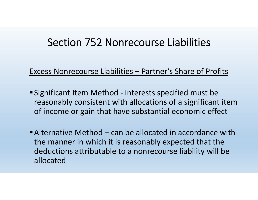### Section 752 Nonrecourse Liabilities

#### Excess Nonrecourse Liabilities – Partner's Share of Profits

- Significant Item Method interests specified must be reasonably consistent with allocations of a significant item of income or gain that have substantial economic effect
- Alternative Method can be allocated in accordance with the manner in which it is reasonably expected that the deductions attributable to a nonrecourse liability will be allocated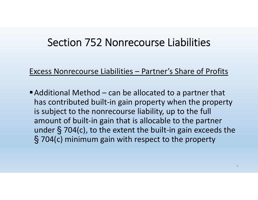#### Section 752 Nonrecourse Liabilities

Excess Nonrecourse Liabilities – Partner's Share of Profits

■ Additional Method – can be allocated to a partner that has contributed built-in gain property when the property is subject to the nonrecourse liability, up to the full amount of built-in gain that is allocable to the partner under § 704(c), to the extent the built-in gain exceeds the § 704(c) minimum gain with respect to the property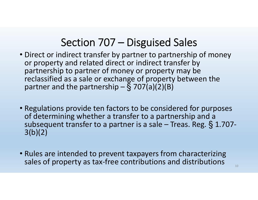# Section 707 – Disguised Sales

- Direct or indirect transfer by partner to partnership of money or property and related direct or indirect transfer by partnership to partner of money or property may be reclassified as a sale or exchange of property between the partner and the partnership – § 707(a)(2)(B)
- Regulations provide ten factors to be considered for purposes of determining whether a transfer to a partnership and a subsequent transfer to a partner is a sale – Treas. Reg. § 1.707- 3(b)(2)
- Rules are intended to prevent taxpayers from characterizing sales of property as tax-free contributions and distributions  $\frac{100}{100}$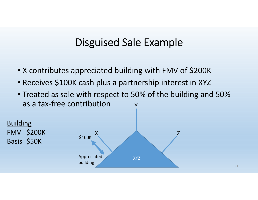#### Disguised Sale Example

- X contributes appreciated building with FMV of \$200K
- Receives \$100K cash plus a partnership interest in XYZ
- Treated as sale with respect to 50% of the building and 50% as a tax-free contributionY

11

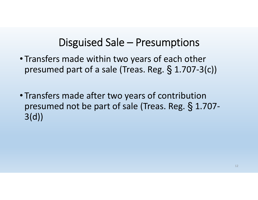#### Disguised Sale – Presumptions

- Transfers made within two years of each other presumed part of a sale (Treas. Reg. § 1.707-3(c))
- Transfers made after two years of contribution presumed not be part of sale (Treas. Reg. § 1.707- 3(d))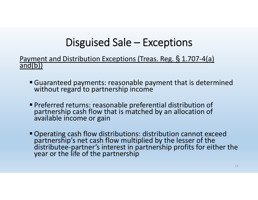# Disguised Sale – Exceptions

Payment and Distribution Exceptions (Treas. Reg. § 1.707-4(a) and(b))

- Guaranteed payments: reasonable payment that is determined without regard to partnership income
- Preferred returns: reasonable preferential distribution of partnership cash flow that is matched by an allocation of available income or gain
- " Operating cash flow distributions: distribution cannot exceed<br>partnership's net cash flow multiplied by the lesser of the<br>distributee-partner's interest in partnership profits for either the<br>year or the life of the partn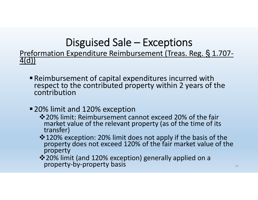# Disguised Sale – Exceptions

Preformation Expenditure Reimbursement (Treas. Reg. § 1.707- 4(d))

- Reimbursement of capital expenditures incurred with respect to the contributed property within 2 years of the contribution
- 20% limit and 120% exception
	- 20% limit: Reimbursement cannot exceed 20% of the fair market value of the relevant property (as of the time of its transfer)
	- 120% exception: 20% limit does not apply if the basis of the property does not exceed 120% of the fair market value of the property
	- ❖ 20% limit (and 120% exception) generally applied on a<br>property-by-property basis 144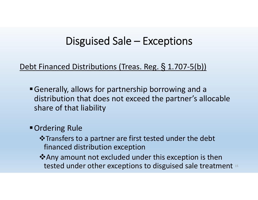#### Disguised Sale – Exceptions

#### Debt Financed Distributions (Treas. Reg. § 1.707-5(b))

- Generally, allows for partnership borrowing and a distribution that does not exceed the partner's allocable share of that liability
- Ordering Rule
	- $\triangle$ **Transfers to a partner are first tested under the debt** financed distribution exception
	- **\*** Any amount not excluded under this exception is then tested under other exceptions to disguised sale treatment 15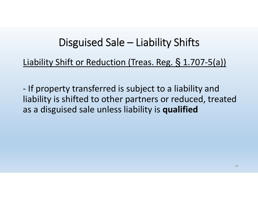### Disguised Sale – Liability Shifts

#### Liability Shift or Reduction (Treas. Reg. § 1.707-5(a))

- If property transferred is subject to a liability and liability is shifted to other partners or reduced, treated as a disguised sale unless liability is **qualified**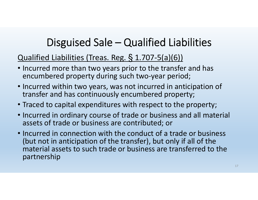# Disguised Sale – Qualified Liabilities

#### Qualified Liabilities (Treas. Reg. § 1.707-5(a)(6))

- Incurred more than two years prior to the transfer and has encumbered property during such two-year period;
- Incurred within two years, was not incurred in anticipation of transfer and has continuously encumbered property;
- Traced to capital expenditures with respect to the property;
- Incurred in ordinary course of trade or business and all material assets of trade or business are contributed; or
- Incurred in connection with the conduct of a trade or business (but not in anticipation of the transfer), but only if all of the material assets to such trade or business are transferred to the partnership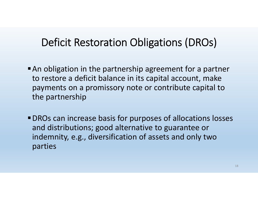### Deficit Restoration Obligations (DROs)

- An obligation in the partnership agreement for a partner to restore a deficit balance in its capital account, make payments on a promissory note or contribute capital to the partnership
- DROs can increase basis for purposes of allocations losses and distributions; good alternative to guarantee or indemnity, e.g., diversification of assets and only two parties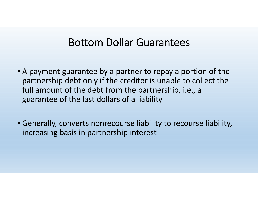#### Bottom Dollar Guarantees

- A payment guarantee by a partner to repay a portion of the partnership debt only if the creditor is unable to collect the full amount of the debt from the partnership, i.e., a guarantee of the last dollars of a liability
- Generally, converts nonrecourse liability to recourse liability, increasing basis in partnership interest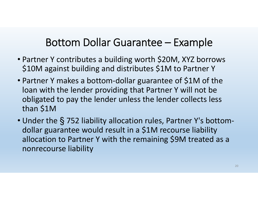# Bottom Dollar Guarantee – Example

- Partner Y contributes a building worth \$20M, XYZ borrows \$10M against building and distributes \$1M to Partner Y
- Partner Y makes a bottom-dollar guarantee of \$1M of the loan with the lender providing that Partner Y will not be obligated to pay the lender unless the lender collects less than \$1M
- Under the § 752 liability allocation rules, Partner Y's bottomdollar guarantee would result in a \$1M recourse liability allocation to Partner Y with the remaining \$9M treated as a nonrecourse liability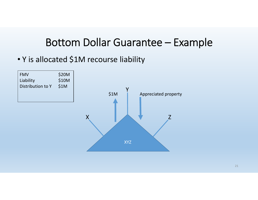#### Bottom Dollar Guarantee – Example

• Y is allocated \$1M recourse liability

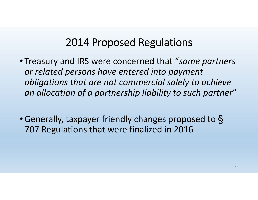- Treasury and IRS were concerned that "*some partners or related persons have entered into payment obligations that are not commercial solely to achieve an allocation of a partnership liability to such partner* "
- •Generally, taxpayer friendly changes proposed to § 707 Regulations that were finalized in 2016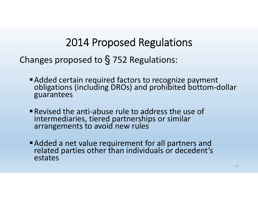Changes proposed to § 752 Regulations:

- Added certain required factors to recognize payment obligations (including DROs) and prohibited bottom-dollar guarantees
- Revised the anti-abuse rule to address the use of intermediaries, tiered partnerships or similar arrangements to avoid new rules
- Added a net value requirement for all partners and related parties other than individuals or decedent's estates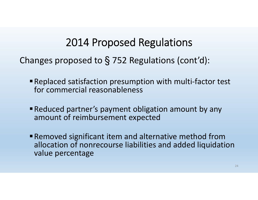Changes proposed to § 752 Regulations (cont'd):

- Replaced satisfaction presumption with multi-factor test for commercial reasonableness
- Reduced partner's payment obligation amount by any amount of reimbursement expected
- Removed significant item and alternative method from allocation of nonrecourse liabilities and added liquidation value percentage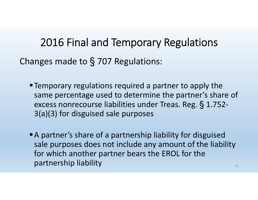Changes made to § 707 Regulations:

- Temporary regulations required a partner to apply the same percentage used to determine the partner's share of excess nonrecourse liabilities under Treas. Reg. § 1.752- 3(a)(3) for disguised sale purposes
- A partner's share of a partnership liability for disguised sale purposes does not include any amount of the liability for which another partner bears the EROL for the partnership liability and the contract of the contract of the contract of the contract of the contract of the contract of the contract of the contract of the contract of the contract of the contract of the contract of the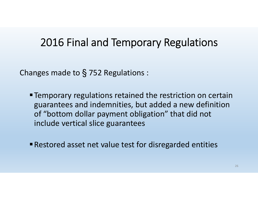Changes made to § 752 Regulations :

- Temporary regulations retained the restriction on certain guarantees and indemnities, but added a new definition of "bottom dollar payment obligation" that did not include vertical slice guarantees
- Restored asset net value test for disregarded entities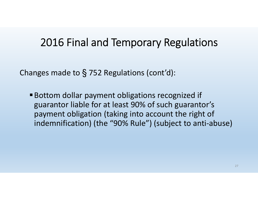Changes made to § 752 Regulations (cont'd):

Bottom dollar payment obligations recognized if guarantor liable for at least 90% of such guarantor's payment obligation (taking into account the right of indemnification) (the "90% Rule") (subject to anti-abuse)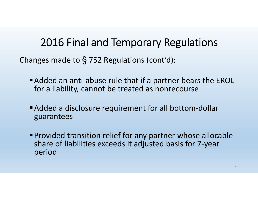Changes made to § 752 Regulations (cont'd):

- Added an anti-abuse rule that if a partner bears the EROL for a liability, cannot be treated as nonrecourse
- Added a disclosure requirement for all bottom-dollar guarantees
- Provided transition relief for any partner whose allocable share of liabilities exceeds it adjusted basis for 7-year period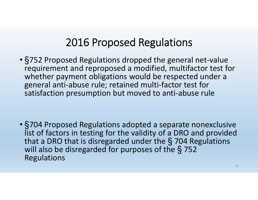• §752 Proposed Regulations dropped the general net-value requirement and reproposed a modified, multifactor test for whether payment obligations would be respected under a general anti-abuse rule; retained multi-factor test for satisfaction presumption but moved to anti-abuse rule

• §704 Proposed Regulations adopted a separate nonexclusive list of factors in testing for the validity of a DRO and provided that a DRO that is disregarded under the § 704 Regulations will also be disregarded for purposes of the § <sup>752</sup> Regulations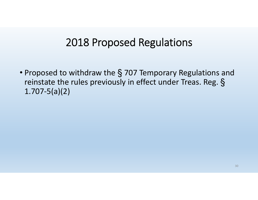• Proposed to withdraw the § 707 Temporary Regulations and reinstate the rules previously in effect under Treas. Reg. § 1.707-5(a)(2)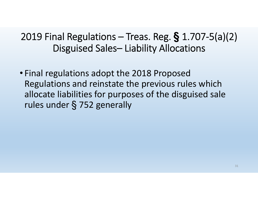#### 2019 Final Regulations – Treas. Reg. **§** 1.707-5(a)(2) Disguised Sales– Liability Allocations

• Final regulations adopt the 2018 Proposed Regulations and reinstate the previous rules which allocate liabilities for purposes of the disguised sale rules under § 752 generally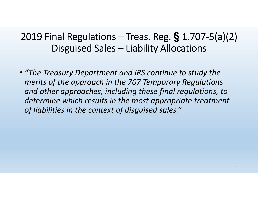#### 2019 Final Regulations – Treas. Reg. **§** 1.707-5(a)(2) Disguised Sales – Liability Allocations

• *"The Treasury Department and IRS continue to study the merits of the approach in the 707 Temporary Regulations and other approaches, including these final regulations, to determine which results in the most appropriate treatment of liabilities in the context of disguised sales."*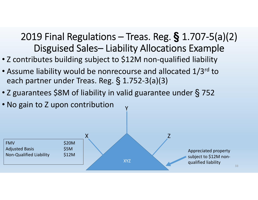#### 2019 Final Regulations – Treas. Reg. **§** 1.707-5(a)(2) Disguised Sales– Liability Allocations Example

- Z contributes building subject to \$12M non-qualified liability
- Assume liability would be nonrecourse and allocated 1/3rd to each partner under Treas. Reg. § 1.752-3(a)(3)
- Z guarantees \$8M of liability in valid guarantee under § <sup>752</sup>
- No gain to Z upon contribution



Y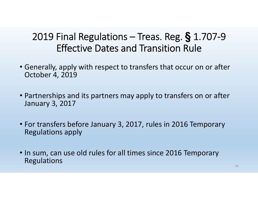#### 2019 Final Regulations – Treas. Reg. **§** 1.707-9 Effective Dates and Transition Rule

- Generally, apply with respect to transfers that occur on or after October 4, 2019
- Partnerships and its partners may apply to transfers on or after January 3, 2017
- For transfers before January 3, 2017, rules in 2016 Temporary Regulations apply
- In sum, can use old rules for all times since 2016 Temporary Regulations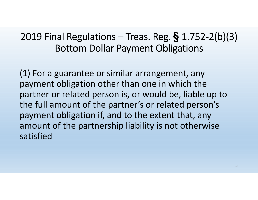#### 2019 Final Regulations – Treas. Reg. **§** 1.752-2(b)(3) Bottom Dollar Payment Obligations

(1) For a guarantee or similar arrangement, any payment obligation other than one in which the partner or related person is, or would be, liable up to the full amount of the partner's or related person's payment obligation if, and to the extent that, any amount of the partnership liability is not otherwise satisfied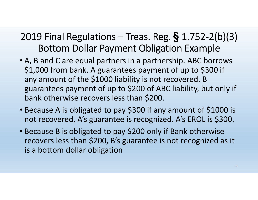#### 2019 Final Regulations – Treas. Reg. **§** 1.752-2(b)(3) Bottom Dollar Payment Obligation Example

- A, B and C are equal partners in a partnership. ABC borrows \$1,000 from bank. A guarantees payment of up to \$300 if any amount of the \$1000 liability is not recovered. B guarantees payment of up to \$200 of ABC liability, but only if bank otherwise recovers less than \$200.
- Because A is obligated to pay \$300 if any amount of \$1000 is not recovered, A's guarantee is recognized. A's EROL is \$300.
- Because B is obligated to pay \$200 only if Bank otherwise recovers less than \$200, B's guarantee is not recognized as it is a bottom dollar obligation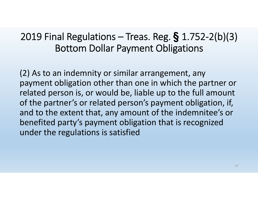#### 2019 Final Regulations – Treas. Reg. **§** 1.752-2(b)(3) Bottom Dollar Payment Obligations

(2) As to an indemnity or similar arrangement, any payment obligation other than one in which the partner or related person is, or would be, liable up to the full amount of the partner's or related person's payment obligation, if, and to the extent that, any amount of the indemnitee's or benefited party's payment obligation that is recognized under the regulations is satisfied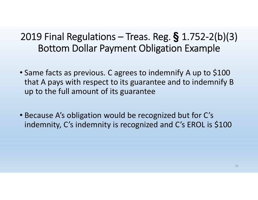#### 2019 Final Regulations – Treas. Reg. **§** 1.752-2(b)(3) Bottom Dollar Payment Obligation Example

- Same facts as previous. C agrees to indemnify A up to \$100 that A pays with respect to its guarantee and to indemnify B up to the full amount of its guarantee
- Because A's obligation would be recognized but for C's indemnity, C's indemnity is recognized and C's EROL is \$100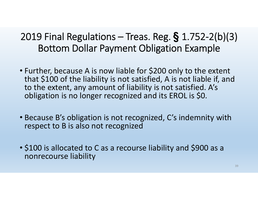#### 2019 Final Regulations – Treas. Reg. **§** 1.752-2(b)(3) Bottom Dollar Payment Obligation Example

- Further, because A is now liable for \$200 only to the extent that \$100 of the liability is not satisfied, A is not liable if, and to the extent, any amount of liability is not satisfied. A's obligation is no longer recognized and its EROL is \$0.
- Because B's obligation is not recognized, C's indemnity with respect to B is also not recognized
- \$100 is allocated to C as a recourse liability and \$900 as a nonrecourse liability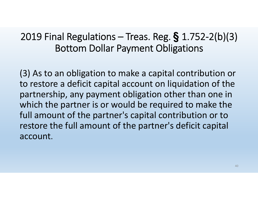#### 2019 Final Regulations – Treas. Reg. **§** 1.752-2(b)(3) Bottom Dollar Payment Obligations

(3) As to an obligation to make a capital contribution or to restore a deficit capital account on liquidation of the partnership, any payment obligation other than one in which the partner is or would be required to make the full amount of the partner's capital contribution or to restore the full amount of the partner's deficit capital account.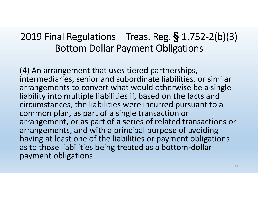#### 2019 Final Regulations – Treas. Reg. **§** 1.752-2(b)(3) Bottom Dollar Payment Obligations

(4) An arrangement that uses tiered partnerships, intermediaries, senior and subordinate liabilities, or similar arrangements to convert what would otherwise be a single liability into multiple liabilities if, based on the facts and circumstances, the liabilities were incurred pursuant to a common plan, as part of a single transaction or arrangement, or as part of a series of related transactions or arrangements, and with a principal purpose of avoiding having at least one of the liabilities or payment obligations as to those liabilities being treated as a bottom-dollar payment obligations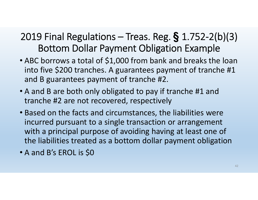#### 2019 Final Regulations – Treas. Reg. **§** 1.752-2(b)(3) Bottom Dollar Payment Obligation Example

- ABC borrows a total of \$1,000 from bank and breaks the loan into five \$200 tranches. A guarantees payment of tranche #1 and B guarantees payment of tranche #2.
- A and B are both only obligated to pay if tranche #1 and tranche #2 are not recovered, respectively
- Based on the facts and circumstances, the liabilities were incurred pursuant to a single transaction or arrangement with a principal purpose of avoiding having at least one of the liabilities treated as a bottom dollar payment obligation
- A and B's EROL is \$0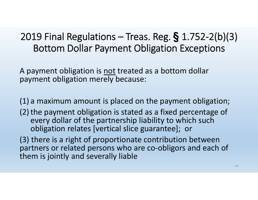#### 2019 Final Regulations – Treas. Reg. **§** 1.752-2(b)(3) Bottom Dollar Payment Obligation Exceptions

A payment obligation is not treated as a bottom dollar payment obligation merely because:

(1) a maximum amount is placed on the payment obligation;

(2) the payment obligation is stated as a fixed percentage of every dollar of the partnership liability to which such obligation relates [vertical slice guarantee]; or

(3) there is a right of proportionate contribution between partners or related persons who are co-obligors and each of them is jointly and severally liable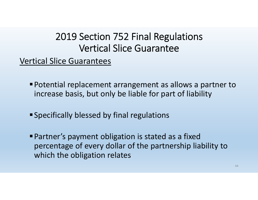#### 2019 Section 752 Final Regulations Vertical Slice Guarantee

Vertical Slice Guarantees

- Potential replacement arrangement as allows a partner to increase basis, but only be liable for part of liability
- Specifically blessed by final regulations
- Partner's payment obligation is stated as a fixed percentage of every dollar of the partnership liability to which the obligation relates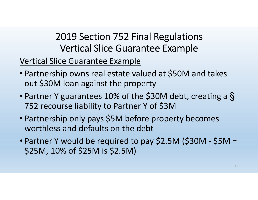#### 2019 Section 752 Final Regulations Vertical Slice Guarantee Example

Vertical Slice Guarantee Example

- Partnership owns real estate valued at \$50M and takes out \$30M loan against the property
- Partner Y guarantees 10% of the \$30M debt, creating a § 752 recourse liability to Partner Y of \$3M
- Partnership only pays \$5M before property becomes worthless and defaults on the debt
- Partner Y would be required to pay \$2.5M (\$30M \$5M = \$25M, 10% of \$25M is \$2.5M)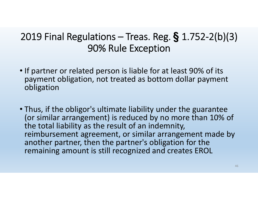#### 2019 Final Regulations – Treas. Reg. **§** 1.752-2(b)(3) 90% Rule Exception

- If partner or related person is liable for at least 90% of its payment obligation, not treated as bottom dollar payment obligation
- Thus, if the obligor's ultimate liability under the guarantee (or similar arrangement) is reduced by no more than 10% of the total liability as the result of an indemnity, reimbursement agreement, or similar arrangement made by another partner, then the partner's obligation for the remaining amount is still recognized and creates EROL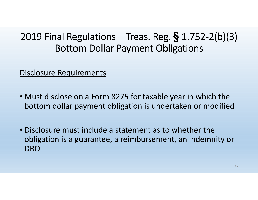#### 2019 Final Regulations – Treas. Reg. **§** 1.752-2(b)(3) Bottom Dollar Payment Obligations

Disclosure Requirements

- Must disclose on a Form 8275 for taxable year in which the bottom dollar payment obligation is undertaken or modified
- Disclosure must include a statement as to whether the obligation is a guarantee, a reimbursement, an indemnity or DRO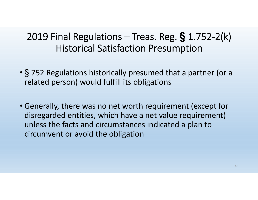#### 2019 Final Regulations – Treas. Reg. **§** 1.752-2(k) Historical Satisfaction Presumption

- § 752 Regulations historically presumed that a partner (or a related person) would fulfill its obligations
- Generally, there was no net worth requirement (except for disregarded entities, which have a net value requirement) unless the facts and circumstances indicated a plan to circumvent or avoid the obligation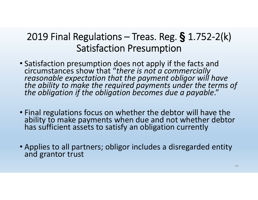#### 2019 Final Regulations – Treas. Reg. **§** 1.752-2(k) Satisfaction Presumption

- Satisfaction presumption does not apply if the facts and<br>circumstances show that "there is not a commercially<br>reasonable expectation that the payment obligor will have<br>the ability to make the required payments under the
- Final regulations focus on whether the debtor will have the ability to make payments when due and not whether debtor<br>has sufficient assets to satisfy an obligation currently
- Applies to all partners; obligor includes a disregarded entity and grantor trust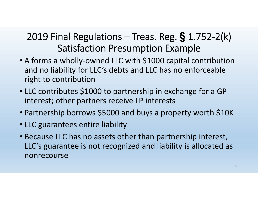#### 2019 Final Regulations – Treas. Reg. **§** 1.752-2(k) Satisfaction Presumption Example

- A forms a wholly-owned LLC with \$1000 capital contribution and no liability for LLC's debts and LLC has no enforceable right to contribution
- LLC contributes \$1000 to partnership in exchange for a GP interest; other partners receive LP interests
- Partnership borrows \$5000 and buys a property worth \$10K
- LLC guarantees entire liability
- Because LLC has no assets other than partnership interest, LLC's guarantee is not recognized and liability is allocated as nonrecourse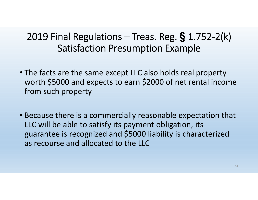#### 2019 Final Regulations – Treas. Reg. **§** 1.752-2(k) Satisfaction Presumption Example

- The facts are the same except LLC also holds real property worth \$5000 and expects to earn \$2000 of net rental income from such property
- Because there is a commercially reasonable expectation that LLC will be able to satisfy its payment obligation, its guarantee is recognized and \$5000 liability is characterized as recourse and allocated to the LLC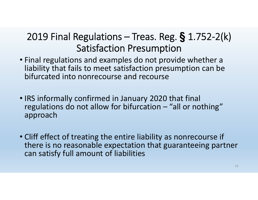#### 2019 Final Regulations – Treas. Reg. **§** 1.752-2(k) Satisfaction Presumption

- Final regulations and examples do not provide whether a liability that fails to meet satisfaction presumption can be bifurcated into nonrecourse and recourse
- IRS informally confirmed in January 2020 that final regulations do not allow for bifurcation – "all or nothing" approach
- Cliff effect of treating the entire liability as nonrecourse if there is no reasonable expectation that guaranteeing partner can satisfy full amount of liabilities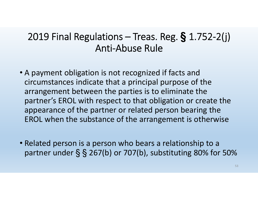#### 2019 Final Regulations – Treas. Reg. **§** 1.752-2(j) Anti-Abuse Rule

- A payment obligation is not recognized if facts and circumstances indicate that a principal purpose of the arrangement between the parties is to eliminate the partner's EROL with respect to that obligation or create the appearance of the partner or related person bearing the EROL when the substance of the arrangement is otherwise
- Related person is a person who bears a relationship to a partner under  $\S$   $\S$  267(b) or 707(b), substituting 80% for 50%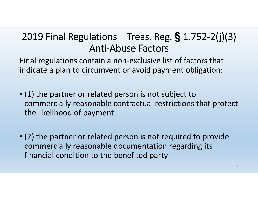Final regulations contain a non-exclusive list of factors that indicate a plan to circumvent or avoid payment obligation:

- (1) the partner or related person is not subject to commercially reasonable contractual restrictions that protect the likelihood of payment
- (2) the partner or related person is not required to provide commercially reasonable documentation regarding its financial condition to the benefited party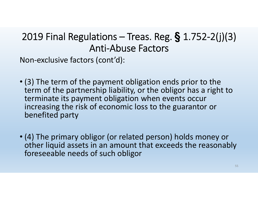Non-exclusive factors (cont'd):

- (3) The term of the payment obligation ends prior to the term of the partnership liability, or the obligor has a right to terminate its payment obligation when events occur increasing the risk of economic loss to the guarantor or benefited party
- (4) The primary obligor (or related person) holds money or other liquid assets in an amount that exceeds the reasonably foreseeable needs of such obligor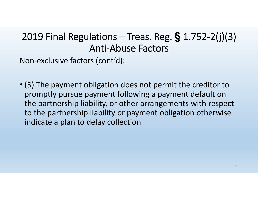Non-exclusive factors (cont'd):

• (5) The payment obligation does not permit the creditor to promptly pursue payment following a payment default on the partnership liability, or other arrangements with respect to the partnership liability or payment obligation otherwise indicate a plan to delay collection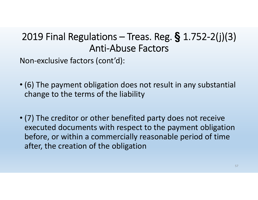Non-exclusive factors (cont'd):

- (6) The payment obligation does not result in any substantial change to the terms of the liability
- (7) The creditor or other benefited party does not receive executed documents with respect to the payment obligation before, or within a commercially reasonable period of time after, the creation of the obligation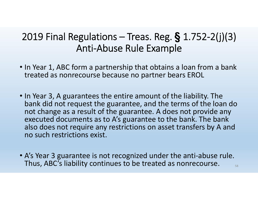#### 2019 Final Regulations – Treas. Reg. **§** 1.752-2(j)(3) Anti-Abuse Rule Example

- In Year 1, ABC form a partnership that obtains a loan from a bank treated as nonrecourse because no partner bears EROL
- In Year 3, A guarantees the entire amount of the liability. The bank did not request the guarantee, and the terms of the loan do not change as a result of the guarantee. A does not provide any executed documents as to A's guarantee to the bank. The bank also does not require any restrictions on asset transfers by A and no such restrictions exist.
- A's Year 3 guarantee is not recognized under the anti-abuse rule. Thus, ABC's liability continues to be treated as nonrecourse.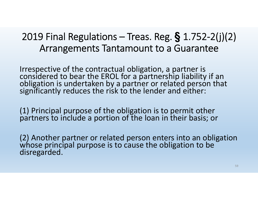#### 2019 Final Regulations – Treas. Reg. **§** 1.752-2(j)(2) Arrangements Tantamount to a Guarantee

Irrespective of the contractual obligation, a partner is<br>considered to bear the EROL for a partnership liability if an<br>obligation is undertaken by a partner or related person that<br>significantly reduces the risk to the lend

(1) Principal purpose of the obligation is to permit other partners to include a portion of the loan in their basis; or

(2) Another partner or related person enters into an obligation whose principal purpose is to cause the obligation to be disregarded.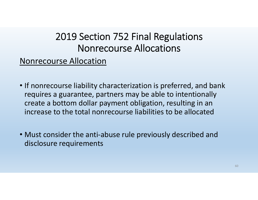#### 2019 Section 752 Final Regulations Nonrecourse Allocations

#### Nonrecourse Allocation

- If nonrecourse liability characterization is preferred, and bank requires a guarantee, partners may be able to intentionally create a bottom dollar payment obligation, resulting in an increase to the total nonrecourse liabilities to be allocated
- Must consider the anti-abuse rule previously described and disclosure requirements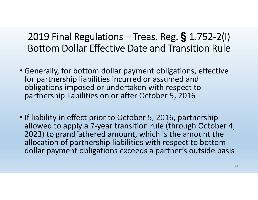2019 Final Regulations – Treas. Reg. **§** 1.752-2(l) Bottom Dollar Effective Date and Transition Rule

- Generally, for bottom dollar payment obligations, effective for partnership liabilities incurred or assumed and obligations imposed or undertaken with respect to partnership liabilities on or after October 5, 2016
- If liability in effect prior to October 5, 2016, partnership allowed to apply a 7-year transition rule (through October 4, 2023) to grandfathered amount, which is the amount the allocation of partnership liabilities with respect to bottom dollar payment obligations exceeds a partner's outside basis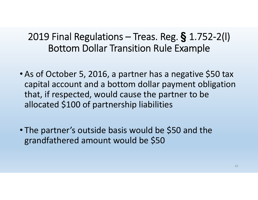#### 2019 Final Regulations – Treas. Reg. **§** 1.752-2(l) Bottom Dollar Transition Rule Example

- As of October 5, 2016, a partner has a negative \$50 tax capital account and a bottom dollar payment obligation that, if respected, would cause the partner to be allocated \$100 of partnership liabilities
- The partner's outside basis would be \$50 and the grandfathered amount would be \$50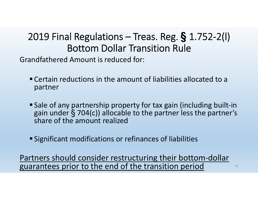#### 2019 Final Regulations – Treas. Reg. **§** 1.752-2(l) Bottom Dollar Transition Rule

Grandfathered Amount is reduced for:

- Certain reductions in the amount of liabilities allocated to a partner
- Sale of any partnership property for tax gain (including built-in gain under § 704(c)) allocable to the partner less the partner's share of the amount realized
- Significant modifications or refinances of liabilities

Partners should consider restructuring their bottom-dollar guarantees prior to the end of the transition period  $\qquad \qquad$ <sup>63</sup>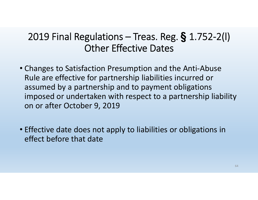#### 2019 Final Regulations – Treas. Reg. **§** 1.752-2(l) Other Effective Dates

- Changes to Satisfaction Presumption and the Anti-Abuse Rule are effective for partnership liabilities incurred or assumed by a partnership and to payment obligations imposed or undertaken with respect to a partnership liability on or after October 9, 2019
- Effective date does not apply to liabilities or obligations in effect before that date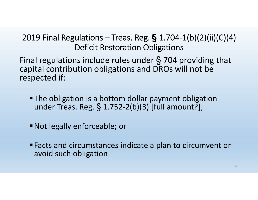#### 2019 Final Regulations – Treas. Reg. **§** 1.704-1(b)(2)(ii)(C)(4) Deficit Restoration Obligations

Final regulations include rules under § 704 providing that capital contribution obligations and DROs will not be respected if:

- The obligation is a bottom dollar payment obligation under Treas. Reg. § 1.752-2(b)(3) [full amount?];
- Not legally enforceable; or
- Facts and circumstances indicate a plan to circumvent or avoid such obligation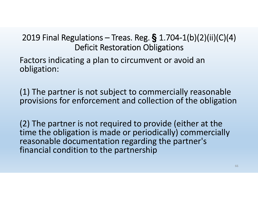#### 2019 Final Regulations – Treas. Reg. **§** 1.704-1(b)(2)(ii)(C)(4) Deficit Restoration Obligations

Factors indicating a plan to circumvent or avoid an obligation:

(1) The partner is not subject to commercially reasonable provisions for enforcement and collection of the obligation

(2) The partner is not required to provide (either at the time the obligation is made or periodically) commercially reasonable documentation regarding the partner's financial condition to the partnership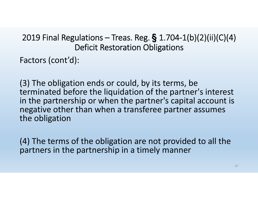#### 2019 Final Regulations – Treas. Reg. **§** 1.704-1(b)(2)(ii)(C)(4) Deficit Restoration Obligations

Factors (cont'd):

(3) The obligation ends or could, by its terms, be terminated before the liquidation of the partner's interest in the partnership or when the partner's capital account is negative other than when a transferee partner assumes the obligation

(4) The terms of the obligation are not provided to all the partners in the partnership in a timely manner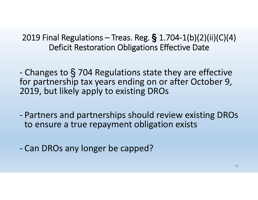2019 Final Regulations – Treas. Reg. **§** 1.704-1(b)(2)(ii)(C)(4) Deficit Restoration Obligations Effective Date

 Changes to § 704 Regulations state they are effective for partnership tax years ending on or after October 9, 2019, but likely apply to existing DROs

- Partners and partnerships should review existing DROs to ensure a true repayment obligation exists
- Can DROs any longer be capped?